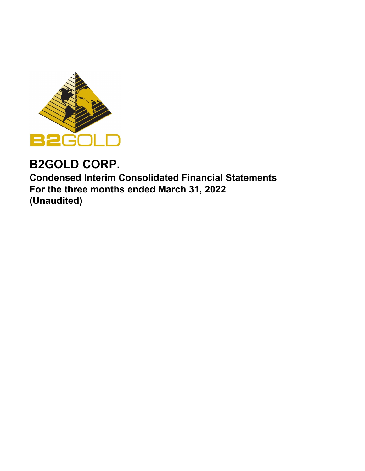

# **B2GOLD CORP.**

**Condensed Interim Consolidated Financial Statements For the three months ended March 31, 2022 (Unaudited)**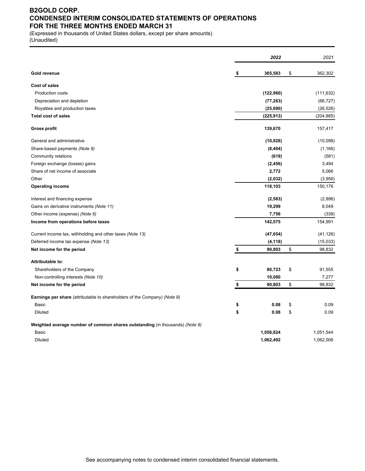### **B2GOLD CORP. CONDENSED INTERIM CONSOLIDATED STATEMENTS OF OPERATIONS FOR THE THREE MONTHS ENDED MARCH 31**

(Expressed in thousands of United States dollars, except per share amounts) (Unaudited)

|                                                                              | 2022          | 2021          |
|------------------------------------------------------------------------------|---------------|---------------|
| Gold revenue                                                                 | \$<br>365,583 | \$<br>362,302 |
| <b>Cost of sales</b>                                                         |               |               |
| <b>Production costs</b>                                                      | (122,960)     | (111, 632)    |
| Depreciation and depletion                                                   | (77, 263)     | (66, 727)     |
| Royalties and production taxes                                               | (25, 690)     | (26, 526)     |
| <b>Total cost of sales</b>                                                   | (225, 913)    | (204, 885)    |
| <b>Gross profit</b>                                                          | 139,670       | 157,417       |
| General and administrative                                                   | (10, 828)     | (10,098)      |
| Share-based payments (Note 9)                                                | (8, 404)      | (1, 166)      |
| Community relations                                                          | (619)         | (581)         |
| Foreign exchange (losses) gains                                              | (2, 456)      | 3,494         |
| Share of net income of associate                                             | 2,772         | 5,066         |
| Other                                                                        | (2,032)       | (3,956)       |
| <b>Operating income</b>                                                      | 118,103       | 150,176       |
| Interest and financing expense                                               | (2, 583)      | (2,896)       |
| Gains on derivative instruments (Note 11)                                    | 19,299        | 8,049         |
| Other income (expense) (Note 6)                                              | 7,756         | (338)         |
| Income from operations before taxes                                          | 142,575       | 154,991       |
| Current income tax, withholding and other taxes (Note 13)                    | (47, 654)     | (41, 126)     |
| Deferred income tax expense (Note 13)                                        | (4, 118)      | (15,033)      |
| Net income for the period                                                    | \$<br>90,803  | \$<br>98,832  |
| Attributable to:                                                             |               |               |
| Shareholders of the Company                                                  | \$<br>80,723  | \$<br>91,555  |
| Non-controlling interests (Note 10)                                          | 10,080        | 7,277         |
| Net income for the period                                                    | \$<br>90,803  | \$<br>98,832  |
| Earnings per share (attributable to shareholders of the Company) (Note 9)    |               |               |
| Basic                                                                        | \$<br>0.08    | \$<br>0.09    |
| <b>Diluted</b>                                                               | \$<br>0.08    | \$<br>0.09    |
| Weighted average number of common shares outstanding (in thousands) (Note 9) |               |               |
| Basic                                                                        | 1,056,824     | 1,051,544     |
| <b>Diluted</b>                                                               | 1,062,492     | 1,062,006     |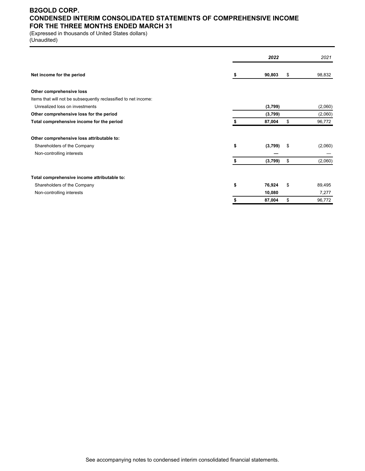### **B2GOLD CORP. CONDENSED INTERIM CONSOLIDATED STATEMENTS OF COMPREHENSIVE INCOME FOR THE THREE MONTHS ENDED MARCH 31**

(Expressed in thousands of United States dollars)

(Unaudited)

|                                                                 |    | 2022    | 2021          |
|-----------------------------------------------------------------|----|---------|---------------|
| Net income for the period                                       | S  | 90,803  | \$<br>98,832  |
| Other comprehensive loss                                        |    |         |               |
| Items that will not be subsequently reclassified to net income: |    |         |               |
| Unrealized loss on investments                                  |    | (3,799) | (2,060)       |
| Other comprehensive loss for the period                         |    | (3,799) | (2,060)       |
| Total comprehensive income for the period                       | \$ | 87,004  | \$<br>96,772  |
| Other comprehensive loss attributable to:                       |    |         |               |
| Shareholders of the Company                                     | \$ | (3,799) | \$<br>(2,060) |
| Non-controlling interests                                       |    |         |               |
|                                                                 | \$ | (3,799) | \$<br>(2,060) |
| Total comprehensive income attributable to:                     |    |         |               |
| Shareholders of the Company                                     | \$ | 76,924  | \$<br>89,495  |
| Non-controlling interests                                       |    | 10,080  | 7,277         |
|                                                                 | \$ | 87,004  | \$<br>96,772  |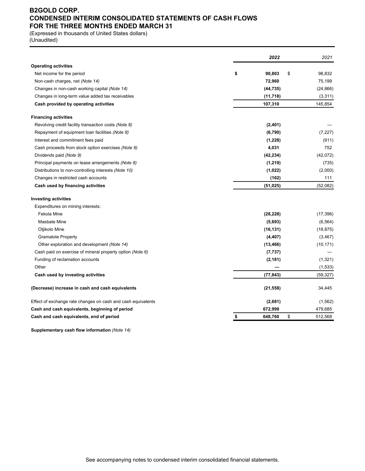### **B2GOLD CORP. CONDENSED INTERIM CONSOLIDATED STATEMENTS OF CASH FLOWS FOR THE THREE MONTHS ENDED MARCH 31**

(Expressed in thousands of United States dollars) (Unaudited)

|                                                              | 2022          | 2021          |
|--------------------------------------------------------------|---------------|---------------|
| <b>Operating activities</b>                                  |               |               |
| Net income for the period                                    | \$<br>90,803  | \$<br>98,832  |
| Non-cash charges, net (Note 14)                              | 72,960        | 75,199        |
| Changes in non-cash working capital (Note 14)                | (44, 735)     | (24, 866)     |
| Changes in long-term value added tax receivables             | (11, 718)     | (3,311)       |
| Cash provided by operating activities                        | 107,310       | 145,854       |
| <b>Financing activities</b>                                  |               |               |
| Revolving credit facility transaction costs (Note 8)         | (2, 401)      |               |
| Repayment of equipment loan facilities (Note 8)              | (6,790)       | (7, 227)      |
| Interest and commitment fees paid                            | (1,228)       | (911)         |
| Cash proceeds from stock option exercises (Note 9)           | 4,031         | 752           |
| Dividends paid (Note 9)                                      | (42, 234)     | (42,072)      |
| Principal payments on lease arrangements (Note 8)            | (1, 219)      | (735)         |
| Distributions to non-controlling interests (Note 10)         | (1,022)       | (2,000)       |
| Changes in restricted cash accounts                          | (162)         | 111           |
| Cash used by financing activities                            | (51, 025)     | (52,082)      |
| <b>Investing activities</b>                                  |               |               |
| Expenditures on mining interests:                            |               |               |
| Fekola Mine                                                  | (28, 228)     | (17, 396)     |
| Masbate Mine                                                 | (5,693)       | (6, 564)      |
| Otjikoto Mine                                                | (16, 131)     | (18, 875)     |
| <b>Gramalote Property</b>                                    | (4, 407)      | (3, 467)      |
| Other exploration and development (Note 14)                  | (13, 466)     | (10, 171)     |
| Cash paid on exercise of mineral property option (Note 6)    | (7, 737)      |               |
| Funding of reclamation accounts                              | (2, 181)      | (1, 321)      |
| Other                                                        |               | (1,533)       |
| Cash used by investing activities                            | (77, 843)     | (59, 327)     |
| (Decrease) increase in cash and cash equivalents             | (21, 558)     | 34,445        |
| Effect of exchange rate changes on cash and cash equivalents | (2,681)       | (1, 562)      |
| Cash and cash equivalents, beginning of period               | 672,999       | 479,685       |
| Cash and cash equivalents, end of period                     | \$<br>648,760 | \$<br>512,568 |

**Supplementary cash flow information** *(Note 14)*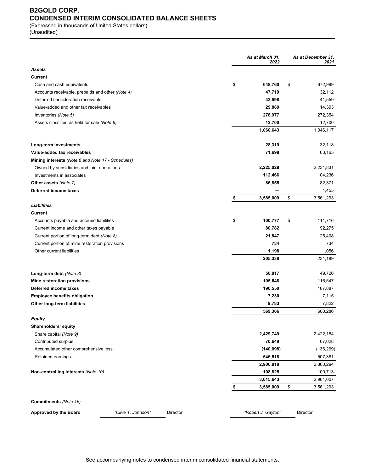## **B2GOLD CORP. CONDENSED INTERIM CONSOLIDATED BALANCE SHEETS**

(Expressed in thousands of United States dollars) (Unaudited)

|                                                                                    |                    |          | As at March 31,<br>2022 | As at December 31,<br>2021 |
|------------------------------------------------------------------------------------|--------------------|----------|-------------------------|----------------------------|
| Assets                                                                             |                    |          |                         |                            |
| Current                                                                            |                    |          |                         |                            |
| Cash and cash equivalents                                                          |                    |          | \$<br>648,760           | \$<br>672,999              |
| Accounts receivable, prepaids and other (Note 4)                                   |                    |          | 47,719                  | 32,112                     |
| Deferred consideration receivable                                                  |                    |          | 42,598                  | 41,559                     |
| Value-added and other tax receivables                                              |                    |          | 29,889                  | 14,393                     |
| Inventories (Note 5)                                                               |                    |          | 278,977                 | 272,354                    |
| Assets classified as held for sale (Note 6)                                        |                    |          | 12,700                  | 12,700                     |
|                                                                                    |                    |          | 1,060,643               | 1,046,117                  |
| Long-term investments                                                              |                    |          | 28,319                  | 32,118                     |
| Value-added tax receivables                                                        |                    |          | 71,698                  | 63,165                     |
| <b>Mining interests</b> (Note 6 and Note 17 - Schedules)                           |                    |          |                         |                            |
| Owned by subsidiaries and joint operations                                         |                    |          | 2,225,028               | 2,231,831                  |
| Investments in associates                                                          |                    |          | 112,466                 | 104,236                    |
| Other assets (Note 7)                                                              |                    |          | 86,855                  | 82,371                     |
| Deferred income taxes                                                              |                    |          |                         | 1,455                      |
|                                                                                    |                    |          | \$<br>3,585,009         | \$<br>3,561,293            |
| Liabilities<br>Current                                                             |                    |          |                         |                            |
|                                                                                    |                    |          | \$<br>100,777           | \$<br>111,716              |
| Accounts payable and accrued liabilities<br>Current income and other taxes payable |                    |          | 80,782                  | 92,275                     |
| Current portion of long-term debt (Note 8)                                         |                    |          | 21,847                  | 25,408                     |
| Current portion of mine restoration provisions                                     |                    |          | 734                     | 734                        |
| Other current liabilities                                                          |                    |          | 1,198                   | 1,056                      |
|                                                                                    |                    |          | 205,338                 | 231,189                    |
| Long-term debt (Note 8)                                                            |                    |          | 50,817                  | 49,726                     |
| Mine restoration provisions                                                        |                    |          | 105,648                 | 116,547                    |
| Deferred income taxes                                                              |                    |          | 190,550                 | 187,887                    |
| <b>Employee benefits obligation</b>                                                |                    |          | 7,230                   | 7,115                      |
| Other long-term liabilities                                                        |                    |          | 9,783                   | 7,822                      |
|                                                                                    |                    |          | 569,366                 | 600,286                    |
| Equity                                                                             |                    |          |                         |                            |
| Shareholders' equity                                                               |                    |          |                         |                            |
| Share capital (Note 9)                                                             |                    |          | 2,429,749               | 2,422,184                  |
| Contributed surplus                                                                |                    |          | 70,649                  | 67,028                     |
| Accumulated other comprehensive loss                                               |                    |          | (140, 098)              | (136, 299)                 |
| Retained earnings                                                                  |                    |          | 546,518                 | 507,381                    |
|                                                                                    |                    |          | 2,906,818               | 2,860,294                  |
| Non-controlling interests (Note 10)                                                |                    |          | 108,825                 | 100,713                    |
|                                                                                    |                    |          | 3,015,643               | 2,961,007                  |
|                                                                                    |                    |          | \$<br>3,585,009         | \$<br>3,561,293            |
| Commitments (Note 16)                                                              |                    |          |                         |                            |
| Approved by the Board                                                              | "Clive T. Johnson" | Director | "Robert J. Gayton"      | Director                   |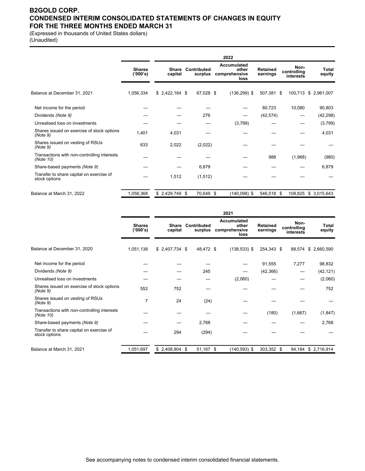### **B2GOLD CORP. CONDENSED INTERIM CONSOLIDATED STATEMENTS OF CHANGES IN EQUITY FOR THE THREE MONTHS ENDED MARCH 31**

(Expressed in thousands of United States dollars) (Unaudited)

|                                                           |                           |                  |                        | 2022                                          |                             |                                  |                      |
|-----------------------------------------------------------|---------------------------|------------------|------------------------|-----------------------------------------------|-----------------------------|----------------------------------|----------------------|
|                                                           | <b>Shares</b><br>('000's) | Share<br>capital | Contributed<br>surplus | Accumulated<br>other<br>comprehensive<br>loss | <b>Retained</b><br>earnings | Non-<br>controlling<br>interests | Total<br>equity      |
| Balance at December 31, 2021                              | 1,056,334                 | $$2,422,184$ \$  | 67,028 \$              | $(136, 299)$ \$                               | 507,381 \$                  |                                  | 100,713 \$ 2,961,007 |
| Net income for the period                                 |                           |                  |                        |                                               | 80,723                      | 10,080                           | 90,803               |
| Dividends (Note 9)                                        |                           |                  | 276                    |                                               | (42, 574)                   |                                  | (42, 298)            |
| Unrealised loss on investments                            |                           |                  |                        | (3,799)                                       |                             |                                  | (3,799)              |
| Shares issued on exercise of stock options<br>(Note 9)    | 1,401                     | 4,031            |                        |                                               |                             |                                  | 4,031                |
| Shares issued on vesting of RSUs<br>(Note 9)              | 633                       | 2,022            | (2,022)                |                                               |                             |                                  |                      |
| Transactions with non-controlling interests<br>(Note 10)  |                           |                  |                        |                                               | 988                         | (1,968)                          | (980)                |
| Share-based payments (Note 9)                             |                           |                  | 6,879                  |                                               |                             |                                  | 6,879                |
| Transfer to share capital on exercise of<br>stock options |                           | 1,512            | (1, 512)               |                                               |                             |                                  |                      |
| Balance at March 31, 2022                                 | 1,058,368                 | $$2,429,749$ \$  | 70,649 \$              | $(140,098)$ \$                                | 546,518 \$                  | 108,825                          | \$3,015,643          |

|                                                           |                           |                         |                        | 2021                                          |                             |                                  |                    |
|-----------------------------------------------------------|---------------------------|-------------------------|------------------------|-----------------------------------------------|-----------------------------|----------------------------------|--------------------|
|                                                           | <b>Shares</b><br>('000's) | <b>Share</b><br>capital | Contributed<br>surplus | Accumulated<br>other<br>comprehensive<br>loss | <b>Retained</b><br>earnings | Non-<br>controlling<br>interests | Total<br>equity    |
| Balance at December 31, 2020                              | 1,051,138                 | $$2,407,734$ \$         | 48,472 \$              | $(138, 533)$ \$                               | 254,343 \$                  | 88,574                           | \$2,660,590        |
| Net income for the period                                 |                           |                         |                        |                                               | 91,555                      | 7,277                            | 98,832             |
| Dividends (Note 9)                                        |                           |                         | 245                    |                                               | (42, 366)                   |                                  | (42, 121)          |
| Unrealised loss on investments                            |                           |                         |                        | (2,060)                                       |                             |                                  | (2,060)            |
| Shares issued on exercise of stock options<br>(Note 9)    | 552                       | 752                     |                        |                                               |                             |                                  | 752                |
| Shares issued on vesting of RSUs<br>(Note 9)              | 7                         | 24                      | (24)                   |                                               |                             |                                  |                    |
| Transactions with non-controlling interests<br>(Note 10)  |                           |                         |                        |                                               | (180)                       | (1,667)                          | (1,847)            |
| Share-based payments (Note 9)                             |                           |                         | 2,768                  |                                               |                             |                                  | 2,768              |
| Transfer to share capital on exercise of<br>stock options |                           | 294                     | (294)                  |                                               |                             |                                  |                    |
| Balance at March 31, 2021                                 | 1,051,697                 | $$2,408,804$ \$         | 51,167 \$              | $(140, 593)$ \$                               | 303,352 \$                  |                                  | 94,184 \$2,716,914 |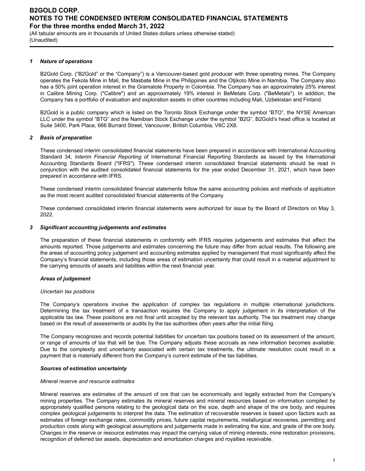(All tabular amounts are in thousands of United States dollars unless otherwise stated) (Unaudited)

#### *1 Nature of operations*

B2Gold Corp. ("B2Gold" or the "Company") is a Vancouver-based gold producer with three operating mines. The Company operates the Fekola Mine in Mali, the Masbate Mine in the Philippines and the Otjikoto Mine in Namibia. The Company also has a 50% joint operation interest in the Gramalote Property in Colombia. The Company has an approximately 25% interest in Calibre Mining Corp. ("Calibre") and an approximately 19% interest in BeMetals Corp. ("BeMetals"). In addition, the Company has a portfolio of evaluation and exploration assets in other countries including Mali, Uzbekistan and Finland.

B2Gold is a public company which is listed on the Toronto Stock Exchange under the symbol "BTO", the NYSE American LLC under the symbol "BTG" and the Namibian Stock Exchange under the symbol "B2G". B2Gold's head office is located at Suite 3400, Park Place, 666 Burrard Street, Vancouver, British Columbia, V6C 2X8.

#### *2 Basis of preparation*

These condensed interim consolidated financial statements have been prepared in accordance with International Accounting Standard 34, *Interim Financial Reporting* of International Financial Reporting Standards as issued by the International Accounting Standards Board ("IFRS"). These condensed interim consolidated financial statements should be read in conjunction with the audited consolidated financial statements for the year ended December 31, 2021, which have been prepared in accordance with IFRS.

These condensed interim consolidated financial statements follow the same accounting policies and methods of application as the most recent audited consolidated financial statements of the Company.

These condensed consolidated interim financial statements were authorized for issue by the Board of Directors on May 3, 2022.

#### *3 Significant accounting judgements and estimates*

The preparation of these financial statements in conformity with IFRS requires judgements and estimates that affect the amounts reported. Those judgements and estimates concerning the future may differ from actual results. The following are the areas of accounting policy judgement and accounting estimates applied by management that most significantly affect the Company's financial statements, including those areas of estimation uncertainty that could result in a material adjustment to the carrying amounts of assets and liabilities within the next financial year.

#### *Areas of judgement*

#### *Uncertain tax positions*

The Company's operations involve the application of complex tax regulations in multiple international jurisdictions. Determining the tax treatment of a transaction requires the Company to apply judgement in its interpretation of the applicable tax law. These positions are not final until accepted by the relevant tax authority. The tax treatment may change based on the result of assessments or audits by the tax authorities often years after the initial filing.

The Company recognizes and records potential liabilities for uncertain tax positions based on its assessment of the amount, or range of amounts of tax that will be due. The Company adjusts these accruals as new information becomes available. Due to the complexity and uncertainty associated with certain tax treatments, the ultimate resolution could result in a payment that is materially different from the Company's current estimate of the tax liabilities.

#### *Sources of estimation uncertainty*

#### *Mineral reserve and resource estimates*

Mineral reserves are estimates of the amount of ore that can be economically and legally extracted from the Company's mining properties. The Company estimates its mineral reserves and mineral resources based on information compiled by appropriately qualified persons relating to the geological data on the size, depth and shape of the ore body, and requires complex geological judgements to interpret the data. The estimation of recoverable reserves is based upon factors such as estimates of foreign exchange rates, commodity prices, future capital requirements, metallurgical recoveries, permitting and production costs along with geological assumptions and judgements made in estimating the size, and grade of the ore body. Changes in the reserve or resource estimates may impact the carrying value of mining interests, mine restoration provisions, recognition of deferred tax assets, depreciation and amortization charges and royalties receivable.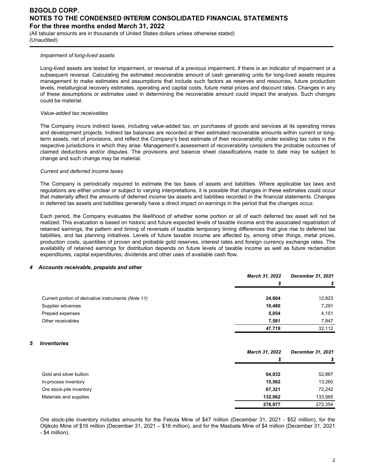(All tabular amounts are in thousands of United States dollars unless otherwise stated) (Unaudited)

### *Impairment of long-lived assets*

Long-lived assets are tested for impairment, or reversal of a previous impairment, if there is an indicator of impairment or a subsequent reversal. Calculating the estimated recoverable amount of cash generating units for long-lived assets requires management to make estimates and assumptions that include such factors as reserves and resources, future production levels, metallurgical recovery estimates, operating and capital costs, future metal prices and discount rates. Changes in any of these assumptions or estimates used in determining the recoverable amount could impact the analysis. Such changes could be material.

### *Value-added tax receivables*

The Company incurs indirect taxes, including value-added tax, on purchases of goods and services at its operating mines and development projects. Indirect tax balances are recorded at their estimated recoverable amounts within current or longterm assets, net of provisions, and reflect the Company's best estimate of their recoverability under existing tax rules in the respective jurisdictions in which they arise. Management's assessment of recoverability considers the probable outcomes of claimed deductions and/or disputes. The provisions and balance sheet classifications made to date may be subject to change and such change may be material.

### *Current and deferred income taxes*

The Company is periodically required to estimate the tax basis of assets and liabilities. Where applicable tax laws and regulations are either unclear or subject to varying interpretations, it is possible that changes in these estimates could occur that materially affect the amounts of deferred income tax assets and liabilities recorded in the financial statements. Changes in deferred tax assets and liabilities generally have a direct impact on earnings in the period that the changes occur.

Each period, the Company evaluates the likelihood of whether some portion or all of each deferred tax asset will not be realized. This evaluation is based on historic and future expected levels of taxable income and the associated repatriation of retained earnings, the pattern and timing of reversals of taxable temporary timing differences that give rise to deferred tax liabilities, and tax planning initiatives. Levels of future taxable income are affected by, among other things, metal prices, production costs, quantities of proven and probable gold reserves, interest rates and foreign currency exchange rates. The availability of retained earnings for distribution depends on future levels of taxable income as well as future reclamation expenditures, capital expenditures, dividends and other uses of available cash flow.

#### *4 Accounts receivable, prepaids and other*

|                                                     | March 31, 2022 | <b>December 31, 2021</b> |
|-----------------------------------------------------|----------------|--------------------------|
|                                                     |                |                          |
| Current portion of derivative instruments (Note 11) | 24,604         | 12,823                   |
| Supplier advances                                   | 10,480         | 7,291                    |
| Prepaid expenses                                    | 5,054          | 4,151                    |
| Other receivables                                   | 7,581          | 7,847                    |
|                                                     | 47,719         | 32,112                   |

#### *5 Inventories*

|                          | <b>March 31, 2022</b> | December 31, 2021 |
|--------------------------|-----------------------|-------------------|
|                          |                       |                   |
|                          |                       |                   |
| Gold and silver bullion  | 64,032                | 52,867            |
| In-process inventory     | 15,562                | 13,260            |
| Ore stock-pile inventory | 67,321                | 72,242            |
| Materials and supplies   | 132.062               | 133,985           |
|                          | 278,977               | 272,354           |

Ore stock-pile inventory includes amounts for the Fekola Mine of \$47 million (December 31, 2021 - \$52 million), for the Otjikoto Mine of \$16 million (December 31, 2021 – \$16 million), and for the Masbate Mine of \$4 million (December 31, 2021 - \$4 million).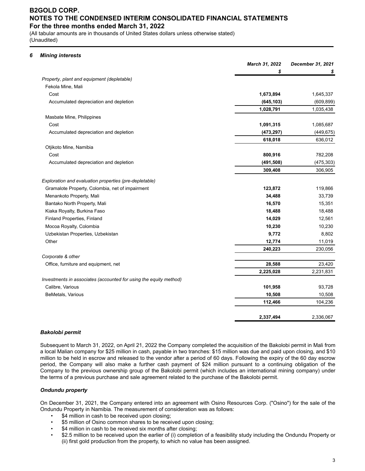(All tabular amounts are in thousands of United States dollars unless otherwise stated) (Unaudited)

### *6 Mining interests*

|                                                                   | March 31, 2022 | December 31, 2021 |
|-------------------------------------------------------------------|----------------|-------------------|
|                                                                   | \$             | \$                |
| Property, plant and equipment (depletable)                        |                |                   |
| Fekola Mine, Mali                                                 |                |                   |
| Cost                                                              | 1,673,894      | 1,645,337         |
| Accumulated depreciation and depletion                            | (645, 103)     | (609, 899)        |
|                                                                   | 1,028,791      | 1,035,438         |
| Masbate Mine, Philippines                                         |                |                   |
| Cost                                                              | 1,091,315      | 1,085,687         |
| Accumulated depreciation and depletion                            | (473, 297)     | (449, 675)        |
|                                                                   | 618,018        | 636,012           |
| Otjikoto Mine, Namibia                                            |                |                   |
| Cost                                                              | 800,916        | 782,208           |
| Accumulated depreciation and depletion                            | (491, 508)     | (475, 303)        |
|                                                                   | 309,408        | 306,905           |
| Exploration and evaluation properties (pre-depletable)            |                |                   |
| Gramalote Property, Colombia, net of impairment                   | 123,872        | 119,866           |
| Menankoto Property, Mali                                          | 34,488         | 33,739            |
| Bantako North Property, Mali                                      | 16,570         | 15,351            |
| Kiaka Royalty, Burkina Faso                                       | 18,488         | 18,488            |
| Finland Properties, Finland                                       | 14,029         | 12,561            |
| Mocoa Royalty, Colombia                                           | 10,230         | 10,230            |
| Uzbekistan Properties, Uzbekistan                                 | 9,772          | 8,802             |
| Other                                                             | 12,774         | 11,019            |
|                                                                   | 240,223        | 230,056           |
| Corporate & other                                                 |                |                   |
| Office, furniture and equipment, net                              | 28,588         | 23,420            |
|                                                                   | 2,225,028      | 2,231,831         |
| Investments in associates (accounted for using the equity method) |                |                   |
| Calibre, Various                                                  | 101,958        | 93,728            |
| BeMetals, Various                                                 | 10,508         | 10,508            |
|                                                                   | 112,466        | 104,236           |
|                                                                   | 2,337,494      | 2,336,067         |

#### *Bakolobi permit*

Subsequent to March 31, 2022, on April 21, 2022 the Company completed the acquisition of the Bakolobi permit in Mali from a local Malian company for \$25 million in cash, payable in two tranches: \$15 million was due and paid upon closing, and \$10 million to be held in escrow and released to the vendor after a period of 60 days. Following the expiry of the 60 day escrow period, the Company will also make a further cash payment of \$24 million pursuant to a continuing obligation of the Company to the previous ownership group of the Bakolobi permit (which includes an international mining company) under the terms of a previous purchase and sale agreement related to the purchase of the Bakolobi permit.

### *Ondundu property*

On December 31, 2021, the Company entered into an agreement with Osino Resources Corp. ("Osino") for the sale of the Ondundu Property in Namibia. The measurement of consideration was as follows:

- \$4 million in cash to be received upon closing;
- \$5 million of Osino common shares to be received upon closing;
- \$4 million in cash to be received six months after closing;
- \$2.5 million to be received upon the earlier of (i) completion of a feasibility study including the Ondundu Property or (ii) first gold production from the property, to which no value has been assigned.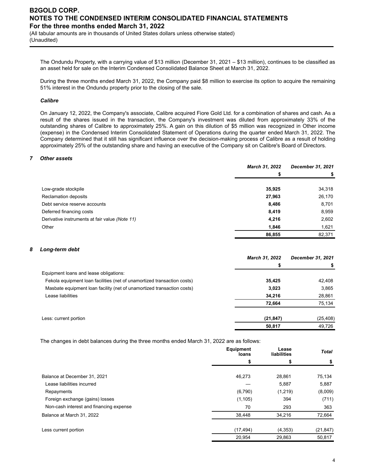(All tabular amounts are in thousands of United States dollars unless otherwise stated) (Unaudited)

The Ondundu Property, with a carrying value of \$13 million (December 31, 2021 – \$13 million), continues to be classified as an asset held for sale on the Interim Condensed Consolidated Balance Sheet at March 31, 2022.

During the three months ended March 31, 2022, the Company paid \$8 million to exercise its option to acquire the remaining 51% interest in the Ondundu property prior to the closing of the sale.

#### *Calibre*

On January 12, 2022, the Company's associate, Calibre acquired Fiore Gold Ltd. for a combination of shares and cash. As a result of the shares issued in the transaction, the Company's investment was diluted from approximately 33% of the outstanding shares of Calibre to approximately 25%. A gain on this dilution of \$5 million was recognized in Other income (expense) in the Condensed Interim Consolidated Statement of Operations during the quarter ended March 31, 2022. The Company determined that it still has significant influence over the decision-making process of Calibre as a result of holding approximately 25% of the outstanding share and having an executive of the Company sit on Calibre's Board of Directors.

#### *7 Other assets*

|                                                | <b>March 31, 2022</b> | December 31, 2021 |
|------------------------------------------------|-----------------------|-------------------|
|                                                |                       | \$                |
|                                                |                       |                   |
| Low-grade stockpile                            | 35,925                | 34,318            |
| Reclamation deposits                           | 27,963                | 26,170            |
| Debt service reserve accounts                  | 8,486                 | 8,701             |
| Deferred financing costs                       | 8,419                 | 8,959             |
| Derivative instruments at fair value (Note 11) | 4,216                 | 2,602             |
| Other                                          | 1,846                 | 1,621             |
|                                                | 86,855                | 82,371            |

#### *8 Long-term debt*

|                                                                         | <b>March 31, 2022</b> | December 31, 2021 |
|-------------------------------------------------------------------------|-----------------------|-------------------|
|                                                                         | \$                    |                   |
| Equipment loans and lease obligations:                                  |                       |                   |
| Fekola equipment loan facilities (net of unamortized transaction costs) | 35,425                | 42,408            |
| Masbate equipment loan facility (net of unamortized transaction costs)  | 3,023                 | 3,865             |
| Lease liabilities                                                       | 34,216                | 28,861            |
|                                                                         | 72.664                | 75,134            |
| Less: current portion                                                   | (21, 847)             | (25, 408)         |
|                                                                         | 50,817                | 49,726            |
|                                                                         |                       |                   |

The changes in debt balances during the three months ended March 31, 2022 are as follows:

|                                         | <b>Equipment</b><br>loans | Lease<br>liabilities | Total     |
|-----------------------------------------|---------------------------|----------------------|-----------|
|                                         | \$                        | S                    | \$        |
| Balance at December 31, 2021            | 46,273                    | 28,861               | 75,134    |
| Lease liabilities incurred              |                           | 5,887                | 5,887     |
| Repayments                              | (6,790)                   | (1,219)              | (8,009)   |
| Foreign exchange (gains) losses         | (1, 105)                  | 394                  | (711)     |
| Non-cash interest and financing expense | 70                        | 293                  | 363       |
| Balance at March 31, 2022               | 38,448                    | 34,216               | 72,664    |
| Less current portion                    | (17, 494)                 | (4, 353)             | (21, 847) |
|                                         | 20,954                    | 29,863               | 50,817    |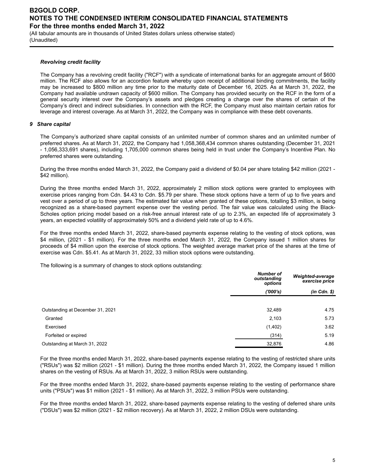(All tabular amounts are in thousands of United States dollars unless otherwise stated) (Unaudited)

### *Revolving credit facility*

The Company has a revolving credit facility ("RCF") with a syndicate of international banks for an aggregate amount of \$600 million. The RCF also allows for an accordion feature whereby upon receipt of additional binding commitments, the facility may be increased to \$800 million any time prior to the maturity date of December 16, 2025. As at March 31, 2022, the Company had available undrawn capacity of \$600 million. The Company has provided security on the RCF in the form of a general security interest over the Company's assets and pledges creating a charge over the shares of certain of the Company's direct and indirect subsidiaries. In connection with the RCF, the Company must also maintain certain ratios for leverage and interest coverage. As at March 31, 2022, the Company was in compliance with these debt covenants.

### *9 Share capital*

The Company's authorized share capital consists of an unlimited number of common shares and an unlimited number of preferred shares. As at March 31, 2022, the Company had 1,058,368,434 common shares outstanding (December 31, 2021 - 1,056,333,691 shares), including 1,705,000 common shares being held in trust under the Company's Incentive Plan. No preferred shares were outstanding.

During the three months ended March 31, 2022, the Company paid a dividend of \$0.04 per share totaling \$42 million (2021 - \$42 million).

During the three months ended March 31, 2022, approximately 2 million stock options were granted to employees with exercise prices ranging from Cdn. \$4.43 to Cdn. \$5.79 per share. These stock options have a term of up to five years and vest over a period of up to three years. The estimated fair value when granted of these options, totalling \$3 million, is being recognized as a share-based payment expense over the vesting period. The fair value was calculated using the Black-Scholes option pricing model based on a risk-free annual interest rate of up to 2.3%, an expected life of approximately 3 years, an expected volatility of approximately 50% and a dividend yield rate of up to 4.6%.

For the three months ended March 31, 2022, share-based payments expense relating to the vesting of stock options, was \$4 million, (2021 - \$1 million). For the three months ended March 31, 2022, the Company issued 1 million shares for proceeds of \$4 million upon the exercise of stock options. The weighted average market price of the shares at the time of exercise was Cdn. \$5.41. As at March 31, 2022, 33 million stock options were outstanding.

The following is a summary of changes to stock options outstanding:

|                                  | <b>Number of</b><br>outstanding<br>options | Weighted-average<br>exercise price |
|----------------------------------|--------------------------------------------|------------------------------------|
|                                  | (000's)                                    | $(in$ $Cdn.$ $\$                   |
|                                  |                                            |                                    |
| Outstanding at December 31, 2021 | 32,489                                     | 4.75                               |
| Granted                          | 2,103                                      | 5.73                               |
| Exercised                        | (1,402)                                    | 3.62                               |
| Forfeited or expired             | (314)                                      | 5.19                               |
| Outstanding at March 31, 2022    | 32,876                                     | 4.86                               |

For the three months ended March 31, 2022, share-based payments expense relating to the vesting of restricted share units ("RSUs") was \$2 million (2021 - \$1 million). During the three months ended March 31, 2022, the Company issued 1 million shares on the vesting of RSUs. As at March 31, 2022, 3 million RSUs were outstanding.

For the three months ended March 31, 2022, share-based payments expense relating to the vesting of performance share units ("PSUs") was \$1 million (2021 - \$1 million). As at March 31, 2022, 3 million PSUs were outstanding.

For the three months ended March 31, 2022, share-based payments expense relating to the vesting of deferred share units ("DSUs") was \$2 million (2021 - \$2 million recovery). As at March 31, 2022, 2 million DSUs were outstanding.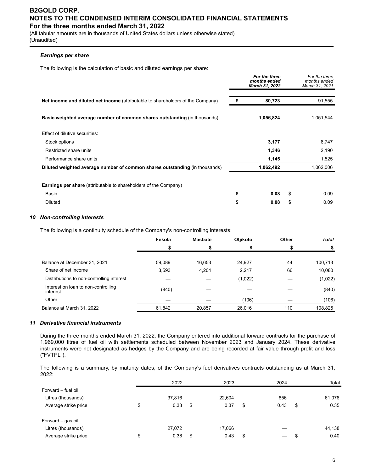(All tabular amounts are in thousands of United States dollars unless otherwise stated) (Unaudited)

### *Earnings per share*

The following is the calculation of basic and diluted earnings per share:

|                                                                                 | For the three<br>months ended<br>March 31, 2022 | For the three<br>months ended<br>March 31, 2021 |
|---------------------------------------------------------------------------------|-------------------------------------------------|-------------------------------------------------|
| Net income and diluted net income (attributable to shareholders of the Company) | \$<br>80,723                                    | 91,555                                          |
| Basic weighted average number of common shares outstanding (in thousands)       | 1,056,824                                       | 1,051,544                                       |
| Effect of dilutive securities:                                                  |                                                 |                                                 |
| Stock options                                                                   | 3,177                                           | 6,747                                           |
| Restricted share units                                                          | 1,346                                           | 2,190                                           |
| Performance share units                                                         | 1,145                                           | 1,525                                           |
| Diluted weighted average number of common shares outstanding (in thousands)     | 1,062,492                                       | 1,062,006                                       |
| <b>Earnings per share</b> (attributable to shareholders of the Company)         |                                                 |                                                 |
| Basic                                                                           | \$<br>0.08                                      | \$<br>0.09                                      |
| <b>Diluted</b>                                                                  | \$<br>0.08                                      | \$<br>0.09                                      |

### *10 Non-controlling interests*

The following is a continuity schedule of the Company's non-controlling interests:

|                                                 | Fekola | <b>Masbate</b> | Otjikoto | Other | <b>Total</b> |
|-------------------------------------------------|--------|----------------|----------|-------|--------------|
|                                                 | \$     | S              |          |       |              |
| Balance at December 31, 2021                    | 59,089 | 16,653         | 24,927   | 44    | 100,713      |
| Share of net income                             | 3,593  | 4,204          | 2,217    | 66    | 10,080       |
| Distributions to non-controlling interest       |        |                | (1,022)  |       | (1,022)      |
| Interest on loan to non-controlling<br>interest | (840)  |                |          |       | (840)        |
| Other                                           |        |                | (106)    |       | (106)        |
| Balance at March 31, 2022                       | 61,842 | 20,857         | 26,016   | 110   | 108.825      |

#### *11 Derivative financial instruments*

During the three months ended March 31, 2022, the Company entered into additional forward contracts for the purchase of 1,969,000 litres of fuel oil with settlements scheduled between November 2023 and January 2024. These derivative instruments were not designated as hedges by the Company and are being recorded at fair value through profit and loss ("FVTPL").

The following is a summary, by maturity dates, of the Company's fuel derivatives contracts outstanding as at March 31, 2022:

|                      | 2022       | 2023       | 2024       | Total      |
|----------------------|------------|------------|------------|------------|
| Forward – fuel oil:  |            |            |            |            |
| Litres (thousands)   | 37,816     | 22,604     | 656        | 61,076     |
| Average strike price | \$<br>0.33 | \$<br>0.37 | \$<br>0.43 | \$<br>0.35 |
| Forward – gas oil:   |            |            |            |            |
| Litres (thousands)   | 27,072     | 17,066     |            | 44,138     |
| Average strike price | \$<br>0.38 | \$<br>0.43 | \$         | 0.40       |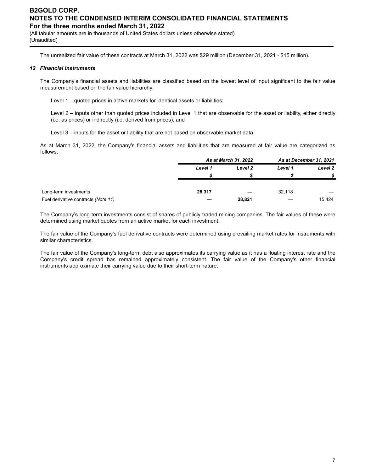(All tabular amounts are in thousands of United States dollars unless otherwise stated) (Unaudited)

The unrealized fair value of these contracts at March 31, 2022 was \$29 million (December 31, 2021 - \$15 million).

### *12 Financial instruments*

The Company's financial assets and liabilities are classified based on the lowest level of input significant to the fair value measurement based on the fair value hierarchy:

Level 1 – quoted prices in active markets for identical assets or liabilities;

Level 2 – inputs other than quoted prices included in Level 1 that are observable for the asset or liability, either directly (i.e. as prices) or indirectly (i.e. derived from prices); and

Level 3 – inputs for the asset or liability that are not based on observable market data.

As at March 31, 2022, the Company's financial assets and liabilities that are measured at fair value are categorized as follows:

|                                     |         | As at March 31, 2022 |         | As at December 31, 2021 |  |
|-------------------------------------|---------|----------------------|---------|-------------------------|--|
|                                     | Level 1 | Level 2              | Level 1 | Level 2                 |  |
|                                     |         |                      |         |                         |  |
|                                     |         |                      |         |                         |  |
| Long-term investments               | 28,317  |                      | 32.118  |                         |  |
| Fuel derivative contracts (Note 11) |         | 28,821               |         | 15,424                  |  |

The Company's long-term investments consist of shares of publicly traded mining companies. The fair values of these were determined using market quotes from an active market for each investment.

The fair value of the Company's fuel derivative contracts were determined using prevailing market rates for instruments with similar characteristics.

The fair value of the Company's long-term debt also approximates its carrying value as it has a floating interest rate and the Company's credit spread has remained approximately consistent. The fair value of the Company's other financial instruments approximate their carrying value due to their short-term nature.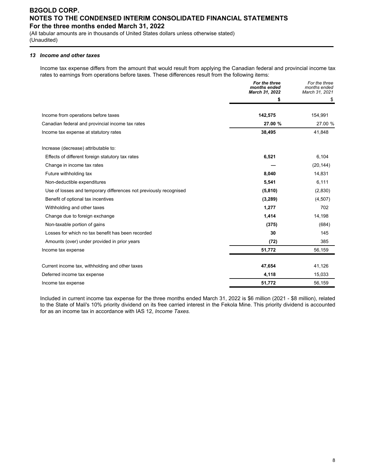(All tabular amounts are in thousands of United States dollars unless otherwise stated) (Unaudited)

### *13 Income and other taxes*

Income tax expense differs from the amount that would result from applying the Canadian federal and provincial income tax rates to earnings from operations before taxes. These differences result from the following items:

|                                                                   | For the three<br>months ended<br>March 31, 2022 | For the three<br>months ended<br>March 31, 2021 |
|-------------------------------------------------------------------|-------------------------------------------------|-------------------------------------------------|
|                                                                   | \$                                              | \$                                              |
| Income from operations before taxes                               | 142,575                                         | 154,991                                         |
| Canadian federal and provincial income tax rates                  | 27.00 %                                         | 27.00 %                                         |
| Income tax expense at statutory rates                             | 38,495                                          | 41,848                                          |
| Increase (decrease) attributable to:                              |                                                 |                                                 |
| Effects of different foreign statutory tax rates                  | 6,521                                           | 6,104                                           |
| Change in income tax rates                                        |                                                 | (20, 144)                                       |
| Future withholding tax                                            | 8,040                                           | 14,831                                          |
| Non-deductible expenditures                                       | 5,541                                           | 6,111                                           |
| Use of losses and temporary differences not previously recognised | (5,810)                                         | (2,830)                                         |
| Benefit of optional tax incentives                                | (3,289)                                         | (4,507)                                         |
| Withholding and other taxes                                       | 1,277                                           | 702                                             |
| Change due to foreign exchange                                    | 1,414                                           | 14,198                                          |
| Non-taxable portion of gains                                      | (375)                                           | (684)                                           |
| Losses for which no tax benefit has been recorded                 | 30                                              | 145                                             |
| Amounts (over) under provided in prior years                      | (72)                                            | 385                                             |
| Income tax expense                                                | 51,772                                          | 56,159                                          |
| Current income tax, withholding and other taxes                   | 47,654                                          | 41,126                                          |
| Deferred income tax expense                                       | 4,118                                           | 15,033                                          |
| Income tax expense                                                | 51,772                                          | 56,159                                          |

Included in current income tax expense for the three months ended March 31, 2022 is \$6 million (2021 - \$8 million), related to the State of Mali's 10% priority dividend on its free carried interest in the Fekola Mine. This priority dividend is accounted for as an income tax in accordance with IAS 12, *Income Taxes.*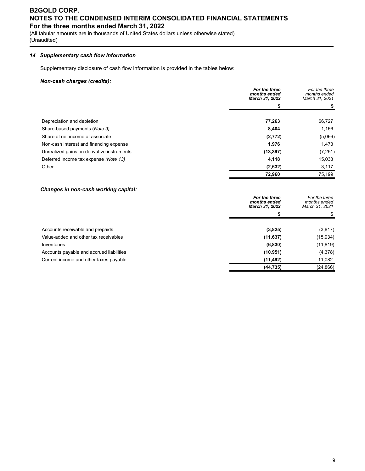(All tabular amounts are in thousands of United States dollars unless otherwise stated) (Unaudited)

### *14 Supplementary cash flow information*

Supplementary disclosure of cash flow information is provided in the tables below:

### *Non-cash charges (credits):*

|                                            | For the three<br>months ended<br>March 31, 2022 | For the three<br>months ended<br>March 31, 2021 |
|--------------------------------------------|-------------------------------------------------|-------------------------------------------------|
|                                            | \$                                              |                                                 |
| Depreciation and depletion                 | 77,263                                          | 66,727                                          |
| Share-based payments (Note 9)              | 8,404                                           | 1,166                                           |
| Share of net income of associate           | (2,772)                                         | (5,066)                                         |
| Non-cash interest and financing expense    | 1,976                                           | 1,473                                           |
| Unrealized gains on derivative instruments | (13, 397)                                       | (7,251)                                         |
| Deferred income tax expense (Note 13)      | 4,118                                           | 15,033                                          |
| Other                                      | (2,632)                                         | 3,117                                           |
|                                            | 72,960                                          | 75,199                                          |

### *Changes in non-cash working capital:*

|                                          | For the three<br>months ended<br>March 31, 2022 | For the three<br>months ended<br>March 31, 2021 |
|------------------------------------------|-------------------------------------------------|-------------------------------------------------|
|                                          | S                                               |                                                 |
| Accounts receivable and prepaids         | (3,825)                                         | (3,817)                                         |
| Value-added and other tax receivables    | (11, 637)                                       | (15, 934)                                       |
| Inventories                              | (6, 830)                                        | (11, 819)                                       |
| Accounts payable and accrued liabilities | (10, 951)                                       | (4,378)                                         |
| Current income and other taxes payable   | (11, 492)                                       | 11,082                                          |
|                                          | (44, 735)                                       | (24, 866)                                       |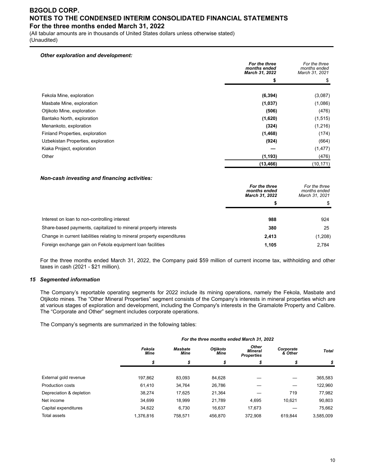(All tabular amounts are in thousands of United States dollars unless otherwise stated) (Unaudited)

*Other exploration and development:*

|                                    | For the three<br>months ended<br>March 31, 2022 | For the three<br>months ended<br>March 31, 2021 |
|------------------------------------|-------------------------------------------------|-------------------------------------------------|
|                                    | \$                                              |                                                 |
| Fekola Mine, exploration           | (6, 394)                                        | (3,087)                                         |
| Masbate Mine, exploration          | (1,037)                                         | (1,086)                                         |
| Otjikoto Mine, exploration         | (506)                                           | (476)                                           |
| Bantako North, exploration         | (1,620)                                         | (1, 515)                                        |
| Menankoto, exploration             | (324)                                           | (1,216)                                         |
| Finland Properties, exploration    | (1, 468)                                        | (174)                                           |
| Uzbekistan Properties, exploration | (924)                                           | (664)                                           |
| Kiaka Project, exploration         |                                                 | (1, 477)                                        |
| Other                              | (1, 193)                                        | (476)                                           |
|                                    | (13, 466)                                       | (10, 171)                                       |

#### *Non-cash investing and financing activities:*

|                                                                         | For the three<br>months ended<br>March 31, 2022 | For the three<br>months ended<br>March 31, 2021 |
|-------------------------------------------------------------------------|-------------------------------------------------|-------------------------------------------------|
|                                                                         | \$                                              |                                                 |
| Interest on loan to non-controlling interest                            | 988                                             | 924                                             |
| Share-based payments, capitalized to mineral property interests         | 380                                             | 25                                              |
| Change in current liabilities relating to mineral property expenditures | 2,413                                           | (1,208)                                         |
| Foreign exchange gain on Fekola equipment loan facilities               | 1,105                                           | 2.784                                           |

For the three months ended March 31, 2022, the Company paid \$59 million of current income tax, withholding and other taxes in cash (2021 - \$21 million).

#### *15 Segmented information*

The Company's reportable operating segments for 2022 include its mining operations, namely the Fekola, Masbate and Otjikoto mines. The "Other Mineral Properties" segment consists of the Company's interests in mineral properties which are at various stages of exploration and development, including the Company's interests in the Gramalote Property and Calibre. The "Corporate and Other" segment includes corporate operations.

The Company's segments are summarized in the following tables:

|                          | For the three months ended March 31, 2022 |                                                                 |         |                                              |                      |              |  |  |  |
|--------------------------|-------------------------------------------|-----------------------------------------------------------------|---------|----------------------------------------------|----------------------|--------------|--|--|--|
|                          | Fekola<br><b>Mine</b>                     | <b>Otiikoto</b><br><b>Masbate</b><br><b>Mine</b><br><b>Mine</b> |         | Other<br><b>Mineral</b><br><b>Properties</b> | Corporate<br>& Other | <b>Total</b> |  |  |  |
|                          | \$                                        | \$                                                              | \$      | \$                                           | \$                   | \$           |  |  |  |
|                          |                                           |                                                                 |         |                                              |                      |              |  |  |  |
| External gold revenue    | 197.862                                   | 83.093                                                          | 84,628  |                                              |                      | 365,583      |  |  |  |
| Production costs         | 61.410                                    | 34.764                                                          | 26,786  |                                              |                      | 122,960      |  |  |  |
| Depreciation & depletion | 38.274                                    | 17.625                                                          | 21,364  |                                              | 719                  | 77,982       |  |  |  |
| Net income               | 34,699                                    | 18,999                                                          | 21,789  | 4,695                                        | 10,621               | 90,803       |  |  |  |
| Capital expenditures     | 34.622                                    | 6,730                                                           | 16,637  | 17,673                                       |                      | 75,662       |  |  |  |
| Total assets             | 1,376,816                                 | 758.571                                                         | 456.870 | 372.908                                      | 619.844              | 3.585.009    |  |  |  |
|                          |                                           |                                                                 |         |                                              |                      |              |  |  |  |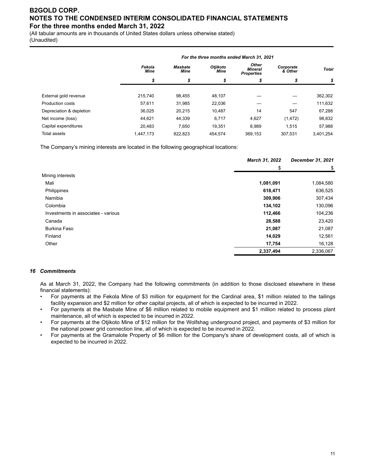(All tabular amounts are in thousands of United States dollars unless otherwise stated) (Unaudited)

|                          | For the three months ended March 31, 2021 |                        |                                |                                              |                      |              |  |  |
|--------------------------|-------------------------------------------|------------------------|--------------------------------|----------------------------------------------|----------------------|--------------|--|--|
|                          | Fekola<br><b>Mine</b>                     | Masbate<br><b>Mine</b> | <b>Otiikoto</b><br><b>Mine</b> | Other<br><b>Mineral</b><br><b>Properties</b> | Corporate<br>& Other | <b>Total</b> |  |  |
|                          | \$                                        | \$                     | S                              | \$                                           | \$                   | \$           |  |  |
|                          |                                           |                        |                                |                                              |                      |              |  |  |
| External gold revenue    | 215.740                                   | 98.455                 | 48,107                         |                                              |                      | 362,302      |  |  |
| <b>Production costs</b>  | 57.611                                    | 31,985                 | 22,036                         |                                              |                      | 111,632      |  |  |
| Depreciation & depletion | 36,025                                    | 20.215                 | 10.487                         | 14                                           | 547                  | 67,288       |  |  |
| Net income (loss)        | 44,621                                    | 44,339                 | 6,717                          | 4,627                                        | (1, 472)             | 98,832       |  |  |
| Capital expenditures     | 20,483                                    | 7,650                  | 19.351                         | 8,989                                        | 1,515                | 57,988       |  |  |
| Total assets             | 1,447,173                                 | 822,823                | 454.574                        | 369,153                                      | 307.531              | 3,401,254    |  |  |

The Company's mining interests are located in the following geographical locations:

|                                     | March 31, 2022 | <b>December 31, 2021</b> |  |
|-------------------------------------|----------------|--------------------------|--|
|                                     | \$             | \$                       |  |
| Mining interests                    |                |                          |  |
| Mali                                | 1,081,091      | 1,084,580                |  |
| Philippines                         | 618,471        | 636,525                  |  |
| Namibia                             | 309,906        | 307,434                  |  |
| Colombia                            | 134,102        | 130,096                  |  |
| Investments in associates - various | 112,466        | 104,236                  |  |
| Canada                              | 28,588         | 23,420                   |  |
| <b>Burkina Faso</b>                 | 21,087         | 21,087                   |  |
| Finland                             | 14,029         | 12,561                   |  |
| Other                               | 17,754         | 16,128                   |  |
|                                     | 2,337,494      | 2,336,067                |  |

### *16 Commitments*

As at March 31, 2022, the Company had the following commitments (in addition to those disclosed elsewhere in these financial statements):

- For payments at the Fekola Mine of \$3 million for equipment for the Cardinal area, \$1 million related to the tailings facility expansion and \$2 million for other capital projects, all of which is expected to be incurred in 2022.
- For payments at the Masbate Mine of \$6 million related to mobile equipment and \$1 million related to process plant maintenance, all of which is expected to be incurred in 2022.
- For payments at the Otjikoto Mine of \$12 million for the Wolfshag underground project, and payments of \$3 million for the national power grid connection line, all of which is expected to be incurred in 2022.
- For payments at the Gramalote Property of \$6 million for the Company's share of development costs, all of which is expected to be incurred in 2022.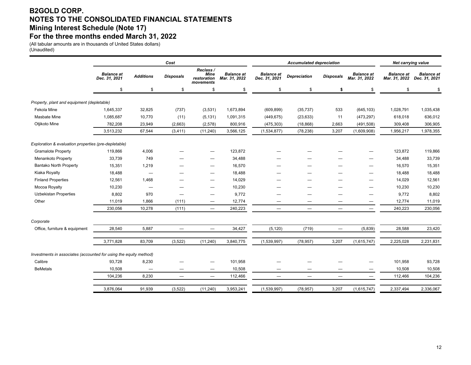### **B2GOLD CORP. NOTES TO THE CONSOLIDATED FINANCIAL STATEMENTS Mining Interest Schedule (Note 17) For the three months ended March 31, 2022**

(All tabular amounts are in thousands of United States dollars) (Unaudited)

|                                                                            | Cost                                                 |                                    |                                    |                     | <b>Accumulated depreciation</b> |                                    |                                    |                                    |  |
|----------------------------------------------------------------------------|------------------------------------------------------|------------------------------------|------------------------------------|---------------------|---------------------------------|------------------------------------|------------------------------------|------------------------------------|--|
| <b>Balance</b> at<br><b>Additions</b><br><b>Disposals</b><br>Dec. 31, 2021 | Reclass /<br><b>Mine</b><br>restoration<br>movements | <b>Balance</b> at<br>Mar. 31, 2022 | <b>Balance</b> at<br>Dec. 31, 2021 | <b>Depreciation</b> | <b>Disposals</b>                | <b>Balance</b> at<br>Mar. 31, 2022 | <b>Balance</b> at<br>Mar. 31, 2022 | <b>Balance</b> at<br>Dec. 31, 2021 |  |
| \$<br>\$<br>\$                                                             | \$                                                   |                                    | \$                                 | \$                  | \$                              | \$                                 | \$                                 | \$                                 |  |
| Property, plant and equipment (depletable)                                 |                                                      |                                    |                                    |                     |                                 |                                    |                                    |                                    |  |
| 32,825<br>(737)<br>Fekola Mine<br>1,645,337                                | (3,531)                                              | 1,673,894                          | (609, 899)                         | (35, 737)           | 533                             | (645, 103)                         | 1,028,791                          | 1,035,438                          |  |
| 10,770<br>Masbate Mine<br>1,085,687<br>(11)                                | (5, 131)                                             | 1,091,315                          | (449, 675)                         | (23, 633)           | 11                              | (473, 297)                         | 618,018                            | 636,012                            |  |
| 23,949<br>(2,663)<br>Otjikoto Mine<br>782,208                              | (2, 578)                                             | 800,916                            | (475, 303)                         | (18, 868)           | 2,663                           | (491, 508)                         | 309,408                            | 306,905                            |  |
| 3,513,232<br>67,544<br>(3, 411)                                            | (11, 240)                                            | 3,566,125                          | (1,534,877)                        | (78, 238)           | 3,207                           | (1,609,908)                        | 1,956,217                          | 1,978,355                          |  |
| Exploration & evaluation properties (pre-depletable)                       |                                                      |                                    |                                    |                     |                                 |                                    |                                    |                                    |  |
| <b>Gramalote Property</b><br>119,866<br>4,006                              |                                                      | 123,872                            |                                    |                     |                                 |                                    | 123,872                            | 119,866                            |  |
| 33,739<br>749<br>Menankoto Property                                        |                                                      | 34,488                             |                                    |                     |                                 |                                    | 34,488                             | 33,739                             |  |
| 15,351<br>1,219<br><b>Bantako North Property</b>                           |                                                      | 16,570                             | —                                  |                     |                                 | –                                  | 16,570                             | 15,351                             |  |
| Kiaka Royalty<br>18,488<br>$\overbrace{\phantom{1232211}}$                 |                                                      | 18,488                             |                                    |                     |                                 | —                                  | 18,488                             | 18,488                             |  |
| <b>Finland Properties</b><br>12,561<br>1,468                               |                                                      | 14,029                             | -                                  |                     |                                 | –                                  | 14,029                             | 12,561                             |  |
| Mocoa Royalty<br>10,230                                                    |                                                      | 10,230                             |                                    |                     |                                 |                                    | 10,230                             | 10,230                             |  |
| 970<br><b>Uzbekistan Properties</b><br>8,802<br>-                          |                                                      | 9,772                              | —                                  |                     |                                 | –                                  | 9,772                              | 8,802                              |  |
| Other<br>11,019<br>1,866<br>(111)                                          |                                                      | 12,774                             |                                    |                     |                                 |                                    | 12,774                             | 11,019                             |  |
| 230,056<br>10,278<br>(111)                                                 | $\overline{\phantom{0}}$                             | 240,223                            | $\equiv$                           |                     | $\overline{\phantom{0}}$        | $\equiv$                           | 240,223                            | 230,056                            |  |
| Corporate                                                                  |                                                      |                                    |                                    |                     |                                 |                                    |                                    |                                    |  |
| 5,887<br>Office, furniture & equipment<br>28,540                           | $\overline{\phantom{m}}$                             | 34,427                             | (5, 120)                           | (719)               | $\overline{\phantom{m}}$        | (5,839)                            | 28,588                             | 23,420                             |  |
| 3,771,828<br>83,709<br>(3, 522)                                            | (11, 240)                                            | 3,840,775                          | (1,539,997)                        | (78, 957)           | 3,207                           | (1,615,747)                        | 2,225,028                          | 2,231,831                          |  |
| Investments in associates (accounted for using the equity method)          |                                                      |                                    |                                    |                     |                                 |                                    |                                    |                                    |  |
| Calibre<br>93,728<br>8,230                                                 |                                                      | 101,958                            |                                    |                     |                                 |                                    | 101,958                            | 93,728                             |  |
| <b>BeMetals</b><br>10,508<br>—                                             | -                                                    | 10,508                             | -                                  |                     |                                 |                                    | 10,508                             | 10,508                             |  |
| 8,230<br>104,236                                                           | $\overline{\phantom{m}}$                             | 112,466                            | $\qquad \qquad$                    | $\qquad \qquad -$   | $\qquad \qquad -$               | $\overline{\phantom{0}}$           | 112,466                            | 104,236                            |  |
| 3,876,064<br>91,939<br>(3, 522)                                            | (11, 240)                                            | 3,953,241                          | (1,539,997)                        | (78, 957)           | 3,207                           | (1,615,747)                        | 2,337,494                          | 2,336,067                          |  |